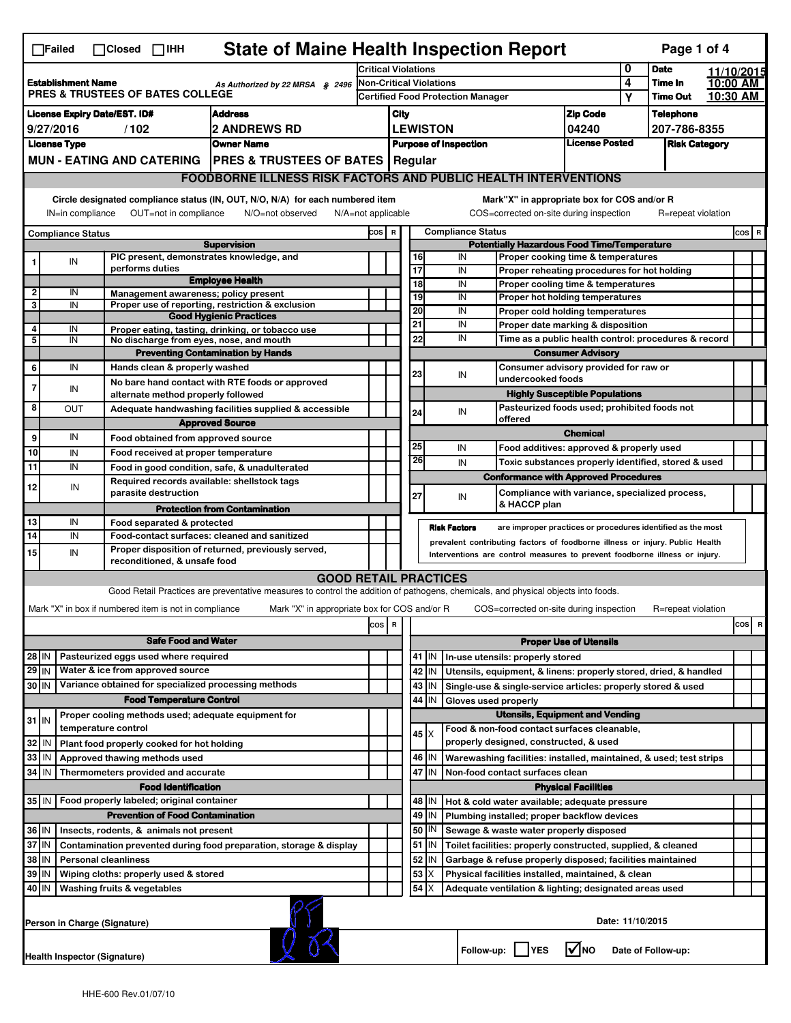|                                                                                                                                                                           | <b>State of Maine Health Inspection Report</b><br>Page 1 of 4<br>$\Box$ Failed<br>$\Box$ Closed $\Box$ IHH                                                                                                                                             |                                            |                      |                                 |                                                                                                                                   |                                                                            |      |                                                                |                              |                     |                                                           |                                                                                               |                            |                      |                    |  |          |
|---------------------------------------------------------------------------------------------------------------------------------------------------------------------------|--------------------------------------------------------------------------------------------------------------------------------------------------------------------------------------------------------------------------------------------------------|--------------------------------------------|----------------------|---------------------------------|-----------------------------------------------------------------------------------------------------------------------------------|----------------------------------------------------------------------------|------|----------------------------------------------------------------|------------------------------|---------------------|-----------------------------------------------------------|-----------------------------------------------------------------------------------------------|----------------------------|----------------------|--------------------|--|----------|
|                                                                                                                                                                           |                                                                                                                                                                                                                                                        |                                            |                      |                                 |                                                                                                                                   | <b>Critical Violations</b>                                                 |      |                                                                |                              |                     |                                                           | 0                                                                                             | <b>Date</b>                |                      | 11/10/2015         |  |          |
| <b>Establishment Name</b><br>As Authorized by 22 MRSA § 2496<br>PRES & TRUSTEES OF BATES COLLEGE                                                                          |                                                                                                                                                                                                                                                        |                                            |                      |                                 |                                                                                                                                   | <b>Non-Critical Violations</b><br><b>Certified Food Protection Manager</b> |      |                                                                |                              | 4<br>Υ              | Time In<br><b>Time Out</b>                                |                                                                                               | 10:00 AM<br>10:30 AM       |                      |                    |  |          |
|                                                                                                                                                                           | <b>License Expiry Date/EST. ID#</b><br><b>Address</b>                                                                                                                                                                                                  |                                            |                      |                                 |                                                                                                                                   |                                                                            | City |                                                                |                              |                     |                                                           |                                                                                               |                            |                      | <b>Telephone</b>   |  |          |
|                                                                                                                                                                           | 9/27/2016<br><b>2 ANDREWS RD</b><br>/102                                                                                                                                                                                                               |                                            |                      |                                 |                                                                                                                                   |                                                                            |      | <b>LEWISTON</b>                                                |                              |                     |                                                           | <b>Zip Code</b><br>04240                                                                      |                            | 207-786-8355         |                    |  |          |
| <b>License Type</b><br><b>Owner Name</b>                                                                                                                                  |                                                                                                                                                                                                                                                        |                                            |                      |                                 |                                                                                                                                   |                                                                            |      |                                                                | <b>Purpose of Inspection</b> |                     |                                                           | <b>License Posted</b>                                                                         |                            | <b>Risk Category</b> |                    |  |          |
|                                                                                                                                                                           |                                                                                                                                                                                                                                                        |                                            |                      |                                 | MUN - EATING AND CATERING   PRES & TRUSTEES OF BATES   Regular                                                                    |                                                                            |      |                                                                |                              |                     |                                                           |                                                                                               |                            |                      |                    |  |          |
|                                                                                                                                                                           |                                                                                                                                                                                                                                                        |                                            |                      |                                 | <b>FOODBORNE ILLNESS RISK FACTORS AND PUBLIC HEALTH INTERVENTIONS</b>                                                             |                                                                            |      |                                                                |                              |                     |                                                           |                                                                                               |                            |                      |                    |  |          |
|                                                                                                                                                                           |                                                                                                                                                                                                                                                        |                                            |                      |                                 |                                                                                                                                   |                                                                            |      |                                                                |                              |                     |                                                           | Mark"X" in appropriate box for COS and/or R                                                   |                            |                      |                    |  |          |
| Circle designated compliance status (IN, OUT, N/O, N/A) for each numbered item<br>OUT=not in compliance<br>IN=in compliance<br>N/O=not observed<br>$N/A = not$ applicable |                                                                                                                                                                                                                                                        |                                            |                      |                                 |                                                                                                                                   |                                                                            |      |                                                                |                              |                     |                                                           | COS=corrected on-site during inspection                                                       |                            |                      | R=repeat violation |  |          |
| <b>Compliance Status</b>                                                                                                                                                  |                                                                                                                                                                                                                                                        |                                            |                      |                                 |                                                                                                                                   | <b>Compliance Status</b><br>COS R                                          |      |                                                                |                              |                     |                                                           |                                                                                               |                            |                      | $cos$ R            |  |          |
|                                                                                                                                                                           |                                                                                                                                                                                                                                                        |                                            |                      |                                 | <b>Supervision</b><br>PIC present, demonstrates knowledge, and                                                                    |                                                                            |      |                                                                | 16                           | IN                  |                                                           | <b>Potentially Hazardous Food Time/Temperature</b><br>Proper cooking time & temperatures      |                            |                      |                    |  |          |
|                                                                                                                                                                           | IN                                                                                                                                                                                                                                                     |                                            | performs duties      |                                 |                                                                                                                                   |                                                                            |      |                                                                | 17                           | IN                  |                                                           | Proper reheating procedures for hot holding                                                   |                            |                      |                    |  |          |
|                                                                                                                                                                           |                                                                                                                                                                                                                                                        |                                            |                      |                                 | <b>Employee Health</b>                                                                                                            |                                                                            |      |                                                                | 18                           | IN                  |                                                           | Proper cooling time & temperatures                                                            |                            |                      |                    |  |          |
| 2<br>3                                                                                                                                                                    | IN<br>IN                                                                                                                                                                                                                                               |                                            |                      |                                 | Management awareness; policy present<br>Proper use of reporting, restriction & exclusion                                          |                                                                            |      |                                                                | 19                           | IN                  |                                                           | Proper hot holding temperatures                                                               |                            |                      |                    |  |          |
|                                                                                                                                                                           |                                                                                                                                                                                                                                                        |                                            |                      |                                 | <b>Good Hygienic Practices</b>                                                                                                    |                                                                            |      |                                                                | 20<br>21                     | IN<br>IN            |                                                           | Proper cold holding temperatures                                                              |                            |                      |                    |  |          |
| 4<br>5                                                                                                                                                                    | IN<br>IN                                                                                                                                                                                                                                               |                                            |                      |                                 | Proper eating, tasting, drinking, or tobacco use<br>No discharge from eyes, nose, and mouth                                       |                                                                            |      |                                                                | 22                           | IN                  |                                                           | Proper date marking & disposition<br>Time as a public health control: procedures & record     |                            |                      |                    |  |          |
|                                                                                                                                                                           |                                                                                                                                                                                                                                                        |                                            |                      |                                 | <b>Preventing Contamination by Hands</b>                                                                                          |                                                                            |      |                                                                |                              |                     |                                                           | <b>Consumer Advisory</b>                                                                      |                            |                      |                    |  |          |
| 6                                                                                                                                                                         | IN                                                                                                                                                                                                                                                     |                                            |                      | Hands clean & properly washed   |                                                                                                                                   |                                                                            |      |                                                                | 23                           | IN                  |                                                           | Consumer advisory provided for raw or                                                         |                            |                      |                    |  |          |
|                                                                                                                                                                           | IN                                                                                                                                                                                                                                                     |                                            |                      |                                 | No bare hand contact with RTE foods or approved                                                                                   |                                                                            |      |                                                                |                              |                     |                                                           | undercooked foods                                                                             |                            |                      |                    |  |          |
| 8                                                                                                                                                                         | OUT                                                                                                                                                                                                                                                    |                                            |                      |                                 | alternate method properly followed<br>Adequate handwashing facilities supplied & accessible                                       |                                                                            |      |                                                                |                              |                     |                                                           | <b>Highly Susceptible Populations</b><br>Pasteurized foods used; prohibited foods not         |                            |                      |                    |  |          |
|                                                                                                                                                                           |                                                                                                                                                                                                                                                        |                                            |                      |                                 | <b>Approved Source</b>                                                                                                            |                                                                            |      |                                                                | 24                           | IN                  |                                                           | offered                                                                                       |                            |                      |                    |  |          |
| 9                                                                                                                                                                         | IN                                                                                                                                                                                                                                                     |                                            |                      |                                 | Food obtained from approved source                                                                                                |                                                                            |      |                                                                |                              |                     |                                                           |                                                                                               | <b>Chemical</b>            |                      |                    |  |          |
| 10                                                                                                                                                                        | IN                                                                                                                                                                                                                                                     |                                            |                      |                                 | Food received at proper temperature                                                                                               |                                                                            |      |                                                                | 25<br>26                     | IN                  |                                                           | Food additives: approved & properly used                                                      |                            |                      |                    |  |          |
| 11                                                                                                                                                                        | IN                                                                                                                                                                                                                                                     |                                            |                      |                                 | Food in good condition, safe, & unadulterated                                                                                     |                                                                            |      |                                                                |                              | IN                  |                                                           | Toxic substances properly identified, stored & used                                           |                            |                      |                    |  |          |
| 12                                                                                                                                                                        | IN                                                                                                                                                                                                                                                     |                                            | parasite destruction |                                 | Required records available: shellstock tags                                                                                       |                                                                            |      |                                                                |                              |                     |                                                           | <b>Conformance with Approved Procedures</b><br>Compliance with variance, specialized process, |                            |                      |                    |  |          |
|                                                                                                                                                                           |                                                                                                                                                                                                                                                        |                                            |                      |                                 | <b>Protection from Contamination</b>                                                                                              |                                                                            |      |                                                                | 27                           | IN                  |                                                           | & HACCP plan                                                                                  |                            |                      |                    |  |          |
| 13                                                                                                                                                                        | IN                                                                                                                                                                                                                                                     |                                            |                      | Food separated & protected      |                                                                                                                                   |                                                                            |      |                                                                |                              | <b>Risk Factors</b> |                                                           |                                                                                               |                            |                      |                    |  |          |
| 14                                                                                                                                                                        | IN                                                                                                                                                                                                                                                     |                                            |                      |                                 | Food-contact surfaces: cleaned and sanitized                                                                                      |                                                                            |      |                                                                |                              |                     |                                                           | are improper practices or procedures identified as the most                                   |                            |                      |                    |  |          |
| 15                                                                                                                                                                        | prevalent contributing factors of foodborne illness or injury. Public Health<br>Proper disposition of returned, previously served,<br>IN<br>Interventions are control measures to prevent foodborne illness or injury.<br>reconditioned, & unsafe food |                                            |                      |                                 |                                                                                                                                   |                                                                            |      |                                                                |                              |                     |                                                           |                                                                                               |                            |                      |                    |  |          |
|                                                                                                                                                                           |                                                                                                                                                                                                                                                        |                                            |                      |                                 | <b>GOOD RETAIL PRACTICES</b>                                                                                                      |                                                                            |      |                                                                |                              |                     |                                                           |                                                                                               |                            |                      |                    |  |          |
|                                                                                                                                                                           |                                                                                                                                                                                                                                                        |                                            |                      |                                 | Good Retail Practices are preventative measures to control the addition of pathogens, chemicals, and physical objects into foods. |                                                                            |      |                                                                |                              |                     |                                                           |                                                                                               |                            |                      |                    |  |          |
|                                                                                                                                                                           | Mark "X" in box if numbered item is not in compliance                                                                                                                                                                                                  |                                            |                      |                                 | Mark "X" in appropriate box for COS and/or R                                                                                      |                                                                            |      |                                                                |                              |                     |                                                           | COS=corrected on-site during inspection                                                       |                            |                      | R=repeat violation |  |          |
|                                                                                                                                                                           |                                                                                                                                                                                                                                                        |                                            |                      |                                 |                                                                                                                                   | cos                                                                        | R    |                                                                |                              |                     |                                                           |                                                                                               |                            |                      |                    |  | cos<br>R |
|                                                                                                                                                                           |                                                                                                                                                                                                                                                        |                                            |                      | <b>Safe Food and Water</b>      |                                                                                                                                   |                                                                            |      | <b>Proper Use of Utensils</b>                                  |                              |                     |                                                           |                                                                                               |                            |                      |                    |  |          |
| 28 IN                                                                                                                                                                     |                                                                                                                                                                                                                                                        | Pasteurized eggs used where required       |                      |                                 |                                                                                                                                   |                                                                            |      |                                                                | 41   IN                      |                     |                                                           | In-use utensils: properly stored                                                              |                            |                      |                    |  |          |
| $29$ IN                                                                                                                                                                   |                                                                                                                                                                                                                                                        | Water & ice from approved source           |                      |                                 |                                                                                                                                   |                                                                            |      |                                                                | 42<br>IN                     |                     |                                                           | Utensils, equipment, & linens: properly stored, dried, & handled                              |                            |                      |                    |  |          |
| 30 IN                                                                                                                                                                     |                                                                                                                                                                                                                                                        |                                            |                      | <b>Food Temperature Control</b> | Variance obtained for specialized processing methods                                                                              |                                                                            |      |                                                                | 43<br>IN<br>44<br>IN         |                     |                                                           | Single-use & single-service articles: properly stored & used                                  |                            |                      |                    |  |          |
|                                                                                                                                                                           |                                                                                                                                                                                                                                                        |                                            |                      |                                 |                                                                                                                                   |                                                                            |      | Gloves used properly<br><b>Utensils, Equipment and Vending</b> |                              |                     |                                                           |                                                                                               |                            |                      |                    |  |          |
| Proper cooling methods used; adequate equipment for<br>$31$ IN<br>temperature control                                                                                     |                                                                                                                                                                                                                                                        |                                            |                      |                                 |                                                                                                                                   |                                                                            |      |                                                                | 45 X                         |                     |                                                           | Food & non-food contact surfaces cleanable,                                                   |                            |                      |                    |  |          |
| 32                                                                                                                                                                        | IN                                                                                                                                                                                                                                                     | Plant food properly cooked for hot holding |                      |                                 |                                                                                                                                   |                                                                            |      |                                                                |                              |                     |                                                           | properly designed, constructed, & used                                                        |                            |                      |                    |  |          |
| 33                                                                                                                                                                        | IN                                                                                                                                                                                                                                                     | Approved thawing methods used              |                      |                                 |                                                                                                                                   |                                                                            |      |                                                                | 46   IN                      |                     |                                                           | Warewashing facilities: installed, maintained, & used; test strips                            |                            |                      |                    |  |          |
| 34                                                                                                                                                                        | l IN                                                                                                                                                                                                                                                   | Thermometers provided and accurate         |                      |                                 |                                                                                                                                   |                                                                            |      |                                                                | 47 IN                        |                     |                                                           | Non-food contact surfaces clean                                                               |                            |                      |                    |  |          |
| 35 IN                                                                                                                                                                     |                                                                                                                                                                                                                                                        | Food properly labeled; original container  |                      | <b>Food Identification</b>      |                                                                                                                                   |                                                                            |      |                                                                | 48   IN                      |                     |                                                           |                                                                                               | <b>Physical Facilities</b> |                      |                    |  |          |
|                                                                                                                                                                           |                                                                                                                                                                                                                                                        |                                            |                      |                                 | <b>Prevention of Food Contamination</b>                                                                                           |                                                                            |      |                                                                | 49<br>IN                     |                     |                                                           | Hot & cold water available; adequate pressure<br>Plumbing installed; proper backflow devices  |                            |                      |                    |  |          |
| 36 IN                                                                                                                                                                     |                                                                                                                                                                                                                                                        | Insects, rodents, & animals not present    |                      |                                 |                                                                                                                                   |                                                                            |      |                                                                | 50   IN                      |                     |                                                           | Sewage & waste water properly disposed                                                        |                            |                      |                    |  |          |
| 37 IN                                                                                                                                                                     |                                                                                                                                                                                                                                                        |                                            |                      |                                 | Contamination prevented during food preparation, storage & display                                                                |                                                                            |      |                                                                | 51<br>IN                     |                     |                                                           | Toilet facilities: properly constructed, supplied, & cleaned                                  |                            |                      |                    |  |          |
| 38 IN<br><b>Personal cleanliness</b>                                                                                                                                      |                                                                                                                                                                                                                                                        |                                            |                      |                                 |                                                                                                                                   |                                                                            |      | 52<br>IN                                                       |                              |                     | Garbage & refuse properly disposed; facilities maintained |                                                                                               |                            |                      |                    |  |          |
| 39   IN<br>Wiping cloths: properly used & stored                                                                                                                          |                                                                                                                                                                                                                                                        |                                            |                      |                                 |                                                                                                                                   |                                                                            |      | 53<br>х                                                        |                              |                     | Physical facilities installed, maintained, & clean        |                                                                                               |                            |                      |                    |  |          |
| 40   IN                                                                                                                                                                   |                                                                                                                                                                                                                                                        | Washing fruits & vegetables                |                      |                                 |                                                                                                                                   |                                                                            |      |                                                                | 54                           |                     |                                                           | Adequate ventilation & lighting; designated areas used                                        |                            |                      |                    |  |          |
|                                                                                                                                                                           | Person in Charge (Signature)                                                                                                                                                                                                                           |                                            |                      |                                 |                                                                                                                                   |                                                                            |      |                                                                |                              |                     |                                                           |                                                                                               |                            | Date: 11/10/2015     |                    |  |          |
|                                                                                                                                                                           | l✔lno<br>Follow-up:  <br><b>YES</b><br>Date of Follow-up:<br><b>Health Inspector (Signature)</b>                                                                                                                                                       |                                            |                      |                                 |                                                                                                                                   |                                                                            |      |                                                                |                              |                     |                                                           |                                                                                               |                            |                      |                    |  |          |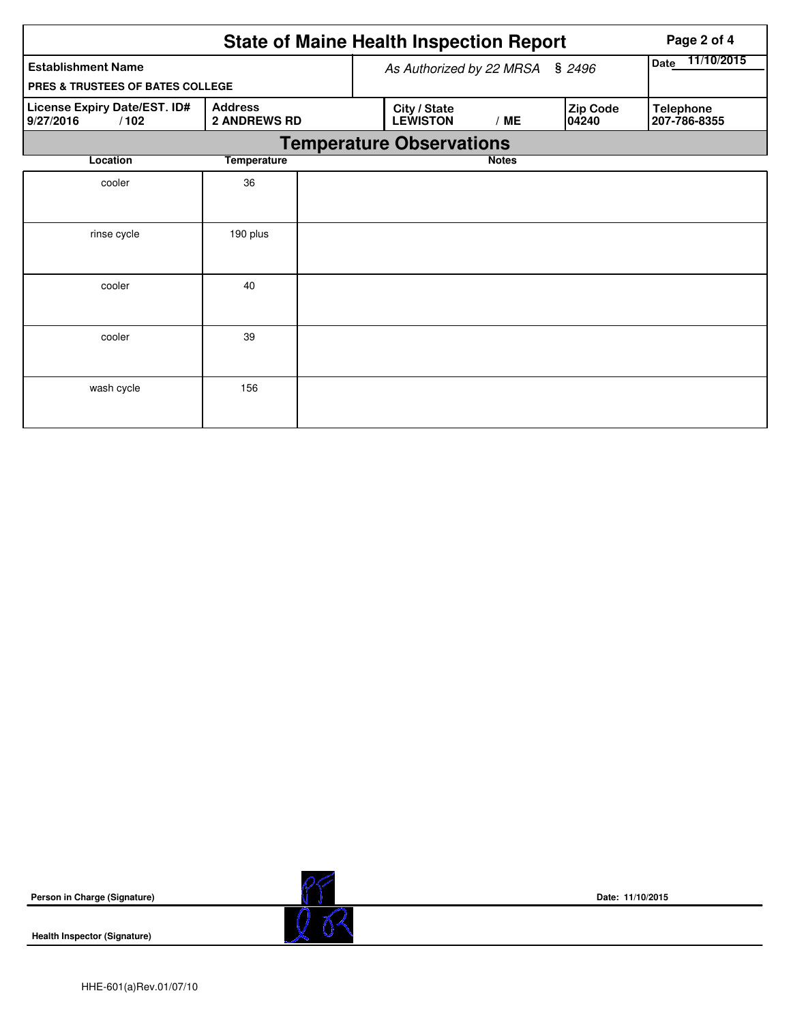|                                                                                            |                    |  | <b>State of Maine Health Inspection Report</b> | Page 2 of 4               |                   |                                  |
|--------------------------------------------------------------------------------------------|--------------------|--|------------------------------------------------|---------------------------|-------------------|----------------------------------|
| <b>Establishment Name</b>                                                                  |                    |  | As Authorized by 22 MRSA § 2496                | 11/10/2015<br><b>Date</b> |                   |                                  |
| <b>PRES &amp; TRUSTEES OF BATES COLLEGE</b>                                                |                    |  |                                                |                           |                   |                                  |
| License Expiry Date/EST. ID#<br><b>Address</b><br>/102<br><b>2 ANDREWS RD</b><br>9/27/2016 |                    |  | City / State<br><b>LEWISTON</b>                | /ME                       | Zip Code<br>04240 | <b>Telephone</b><br>207-786-8355 |
|                                                                                            |                    |  | <b>Temperature Observations</b>                |                           |                   |                                  |
| Location                                                                                   | <b>Temperature</b> |  |                                                | <b>Notes</b>              |                   |                                  |
| cooler                                                                                     | 36                 |  |                                                |                           |                   |                                  |
|                                                                                            |                    |  |                                                |                           |                   |                                  |
| rinse cycle                                                                                | 190 plus           |  |                                                |                           |                   |                                  |
|                                                                                            |                    |  |                                                |                           |                   |                                  |
| cooler                                                                                     | 40                 |  |                                                |                           |                   |                                  |
|                                                                                            |                    |  |                                                |                           |                   |                                  |
| cooler                                                                                     | 39                 |  |                                                |                           |                   |                                  |
|                                                                                            |                    |  |                                                |                           |                   |                                  |
| wash cycle                                                                                 | 156                |  |                                                |                           |                   |                                  |
|                                                                                            |                    |  |                                                |                           |                   |                                  |

**Person in Charge (Signature)**

**Health Inspector (Signature)** 



**Date: 11/10/2015**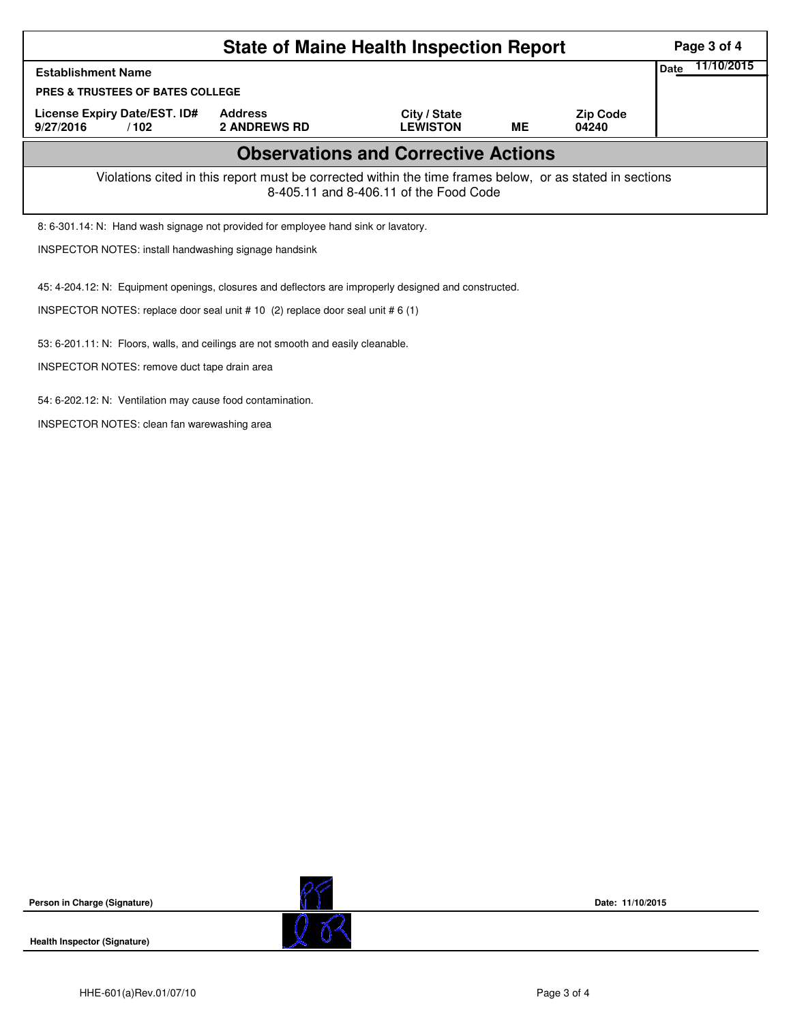|                                                                                                                                                    | Page 3 of 4                           |                                 |    |                          |  |  |  |  |  |
|----------------------------------------------------------------------------------------------------------------------------------------------------|---------------------------------------|---------------------------------|----|--------------------------|--|--|--|--|--|
| <b>Establishment Name</b>                                                                                                                          |                                       |                                 |    |                          |  |  |  |  |  |
| <b>PRES &amp; TRUSTEES OF BATES COLLEGE</b>                                                                                                        |                                       |                                 |    |                          |  |  |  |  |  |
| License Expiry Date/EST. ID#<br>9/27/2016<br>/102                                                                                                  | <b>Address</b><br><b>2 ANDREWS RD</b> | City / State<br><b>LEWISTON</b> | ME | <b>Zip Code</b><br>04240 |  |  |  |  |  |
| <b>Observations and Corrective Actions</b>                                                                                                         |                                       |                                 |    |                          |  |  |  |  |  |
| Violations cited in this report must be corrected within the time frames below, or as stated in sections<br>8-405.11 and 8-406.11 of the Food Code |                                       |                                 |    |                          |  |  |  |  |  |
| 8: 6-301.14: N: Hand wash signage not provided for employee hand sink or lavatory.                                                                 |                                       |                                 |    |                          |  |  |  |  |  |
| <b>INSPECTOR NOTES: install handwashing signage handsink</b>                                                                                       |                                       |                                 |    |                          |  |  |  |  |  |
| 45: 4-204.12: N: Equipment openings, closures and deflectors are improperly designed and constructed.                                              |                                       |                                 |    |                          |  |  |  |  |  |
| INSPECTOR NOTES: replace door seal unit # 10 (2) replace door seal unit # 6 (1)                                                                    |                                       |                                 |    |                          |  |  |  |  |  |
| 53: 6-201.11: N: Floors, walls, and ceilings are not smooth and easily cleanable.                                                                  |                                       |                                 |    |                          |  |  |  |  |  |
| INSPECTOR NOTES: remove duct tape drain area                                                                                                       |                                       |                                 |    |                          |  |  |  |  |  |

54: 6-202.12: N: Ventilation may cause food contamination.

INSPECTOR NOTES: clean fan warewashing area

**Person in Charge (Signature)**



**Date: 11/10/2015**

**Health Inspector (Signature)**